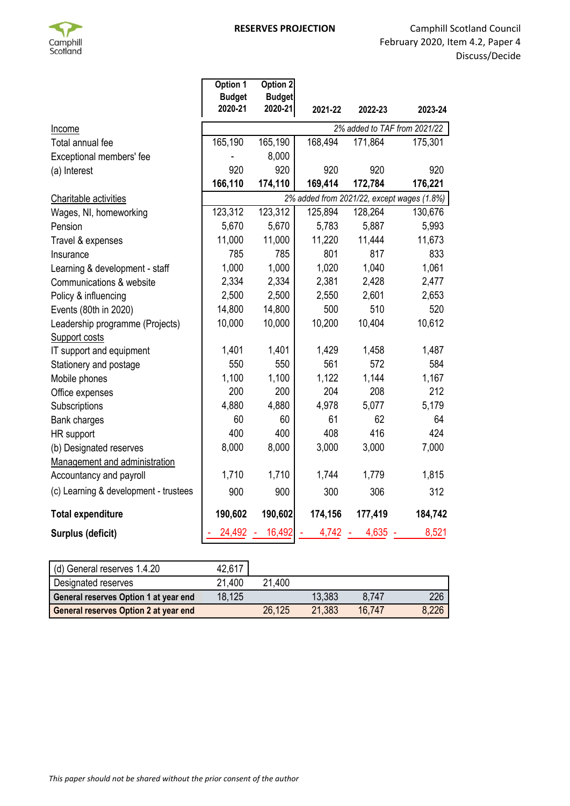

|                                       | Option 1<br><b>Budget</b>    | Option 2<br><b>Budget</b> |         |         |                                            |  |
|---------------------------------------|------------------------------|---------------------------|---------|---------|--------------------------------------------|--|
|                                       | 2020-21                      | 2020-21                   | 2021-22 | 2022-23 | 2023-24                                    |  |
| <b>Income</b>                         | 2% added to TAF from 2021/22 |                           |         |         |                                            |  |
| Total annual fee                      | 165,190                      | 165,190                   | 168,494 | 171,864 | 175,301                                    |  |
| Exceptional members' fee              |                              | 8,000                     |         |         |                                            |  |
| (a) Interest                          | 920                          | 920                       | 920     | 920     | 920                                        |  |
|                                       | 166,110                      | 174,110                   | 169,414 | 172,784 | 176,221                                    |  |
| Charitable activities                 |                              |                           |         |         | 2% added from 2021/22, except wages (1.8%) |  |
| Wages, NI, homeworking                | 123,312                      | 123,312                   | 125,894 | 128,264 | 130,676                                    |  |
| Pension                               | 5,670                        | 5,670                     | 5,783   | 5,887   | 5,993                                      |  |
| Travel & expenses                     | 11,000                       | 11,000                    | 11,220  | 11,444  | 11,673                                     |  |
| Insurance                             | 785                          | 785                       | 801     | 817     | 833                                        |  |
| Learning & development - staff        | 1,000                        | 1,000                     | 1,020   | 1,040   | 1,061                                      |  |
| Communications & website              | 2,334                        | 2,334                     | 2,381   | 2,428   | 2,477                                      |  |
| Policy & influencing                  | 2,500                        | 2,500                     | 2,550   | 2,601   | 2,653                                      |  |
| Events (80th in 2020)                 | 14,800                       | 14,800                    | 500     | 510     | 520                                        |  |
| Leadership programme (Projects)       | 10,000                       | 10,000                    | 10,200  | 10,404  | 10,612                                     |  |
| Support costs                         |                              |                           |         |         |                                            |  |
| IT support and equipment              | 1,401                        | 1,401                     | 1,429   | 1,458   | 1,487                                      |  |
| Stationery and postage                | 550                          | 550                       | 561     | 572     | 584                                        |  |
| Mobile phones                         | 1,100                        | 1,100                     | 1,122   | 1,144   | 1,167                                      |  |
| Office expenses                       | 200                          | 200                       | 204     | 208     | 212                                        |  |
| Subscriptions                         | 4,880                        | 4,880                     | 4,978   | 5,077   | 5,179                                      |  |
| Bank charges                          | 60                           | 60                        | 61      | 62      | 64                                         |  |
| HR support                            | 400                          | 400                       | 408     | 416     | 424                                        |  |
| (b) Designated reserves               | 8,000                        | 8,000                     | 3,000   | 3,000   | 7,000                                      |  |
| Management and administration         |                              |                           |         |         |                                            |  |
| Accountancy and payroll               | 1,710                        | 1,710                     | 1,744   | 1,779   | 1,815                                      |  |
| (c) Learning & development - trustees | 900                          | 900                       | 300     | 306     | 312                                        |  |
| <b>Total expenditure</b>              | 190,602                      | 190,602                   | 174,156 | 177,419 | 184,742                                    |  |
| <b>Surplus (deficit)</b>              | 24,492                       | 16,492                    | 4,742   | 4,635   | 8,521                                      |  |

| (d) General reserves 1.4.20                  | 42,617 |        |        |        |       |
|----------------------------------------------|--------|--------|--------|--------|-------|
| Designated reserves                          | 21.400 | 21.400 |        |        |       |
| General reserves Option 1 at year end        | 18,125 |        | 13.383 | 8.747  | 226   |
| <b>General reserves Option 2 at year end</b> |        | 26,125 | 21.383 | 16.747 | 8,226 |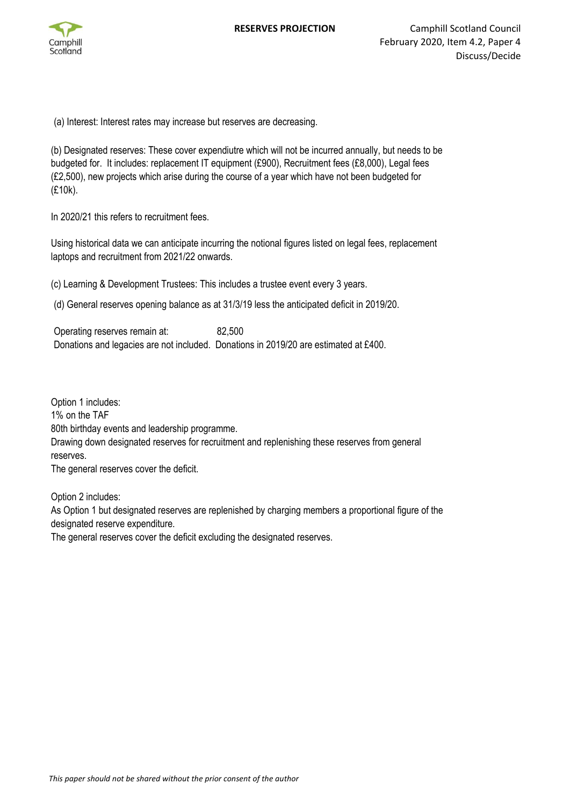

(a) Interest: Interest rates may increase but reserves are decreasing.

(b) Designated reserves: These cover expendiutre which will not be incurred annually, but needs to be budgeted for. It includes: replacement IT equipment (£900), Recruitment fees (£8,000), Legal fees (£2,500), new projects which arise during the course of a year which have not been budgeted for (£10k).

In 2020/21 this refers to recruitment fees.

Using historical data we can anticipate incurring the notional figures listed on legal fees, replacement laptops and recruitment from 2021/22 onwards.

(c) Learning & Development Trustees: This includes a trustee event every 3 years.

(d) General reserves opening balance as at 31/3/19 less the anticipated deficit in 2019/20.

Operating reserves remain at: 82,500 Donations and legacies are not included. Donations in 2019/20 are estimated at £400.

Option 1 includes: 1% on the TAF 80th birthday events and leadership programme. Drawing down designated reserves for recruitment and replenishing these reserves from general reserves. The general reserves cover the deficit.

Option 2 includes:

As Option 1 but designated reserves are replenished by charging members a proportional figure of the designated reserve expenditure.

The general reserves cover the deficit excluding the designated reserves.